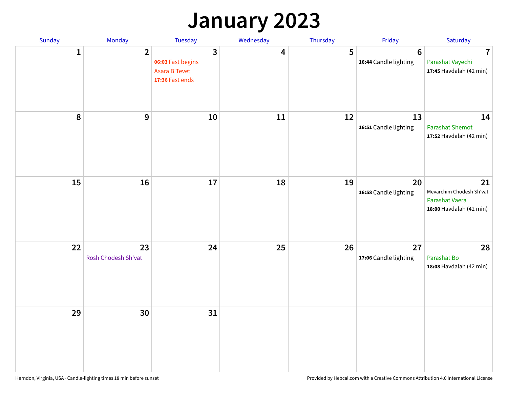## **January 2023**

| Sunday | Monday                    | Tuesday                                                    | Wednesday | Thursday | Friday                                   | Saturday                                                                    |
|--------|---------------------------|------------------------------------------------------------|-----------|----------|------------------------------------------|-----------------------------------------------------------------------------|
| 1      | $\overline{2}$            | 3<br>06:03 Fast begins<br>Asara B'Tevet<br>17:36 Fast ends | 4         | 5        | $6\phantom{1}6$<br>16:44 Candle lighting | $\overline{7}$<br>Parashat Vayechi<br>17:45 Havdalah (42 min)               |
| 8      | 9                         | 10                                                         | 11        | 12       | 13<br>16:51 Candle lighting              | 14<br><b>Parashat Shemot</b><br>17:52 Havdalah (42 min)                     |
| 15     | 16                        | 17                                                         | 18        | 19       | 20<br>16:58 Candle lighting              | 21<br>Mevarchim Chodesh Sh'vat<br>Parashat Vaera<br>18:00 Havdalah (42 min) |
| 22     | 23<br>Rosh Chodesh Sh'vat | 24                                                         | 25        | 26       | 27<br>17:06 Candle lighting              | 28<br>Parashat Bo<br>18:08 Havdalah (42 min)                                |
| 29     | 30                        | 31                                                         |           |          |                                          |                                                                             |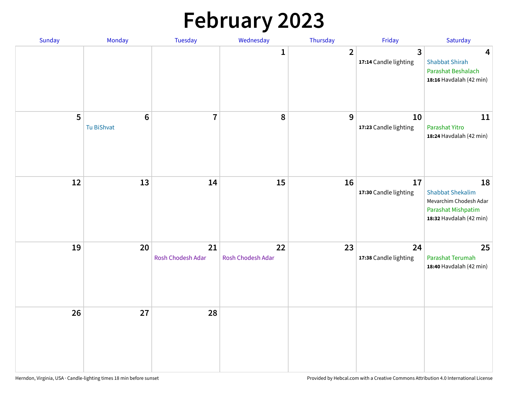# **February 2023**

| Sunday | Monday                        | <b>Tuesday</b>          | Wednesday               | Thursday       | Friday                                           | Saturday                                                                                                 |
|--------|-------------------------------|-------------------------|-------------------------|----------------|--------------------------------------------------|----------------------------------------------------------------------------------------------------------|
|        |                               |                         | $\mathbf{1}$            | $\overline{2}$ | $\overline{\mathbf{3}}$<br>17:14 Candle lighting | $\overline{\mathbf{4}}$<br><b>Shabbat Shirah</b><br>Parashat Beshalach<br>18:16 Havdalah (42 min)        |
| 5      | $6\phantom{1}6$<br>Tu BiShvat | $\overline{7}$          | 8                       | 9              | 10<br>17:23 Candle lighting                      | 11<br>Parashat Yitro<br>18:24 Havdalah (42 min)                                                          |
| 12     | 13                            | 14                      | 15                      | 16             | 17<br>17:30 Candle lighting                      | 18<br><b>Shabbat Shekalim</b><br>Mevarchim Chodesh Adar<br>Parashat Mishpatim<br>18:32 Havdalah (42 min) |
| 19     | 20                            | 21<br>Rosh Chodesh Adar | 22<br>Rosh Chodesh Adar | 23             | 24<br>17:38 Candle lighting                      | 25<br>Parashat Terumah<br>18:40 Havdalah (42 min)                                                        |
| 26     | 27                            | 28                      |                         |                |                                                  |                                                                                                          |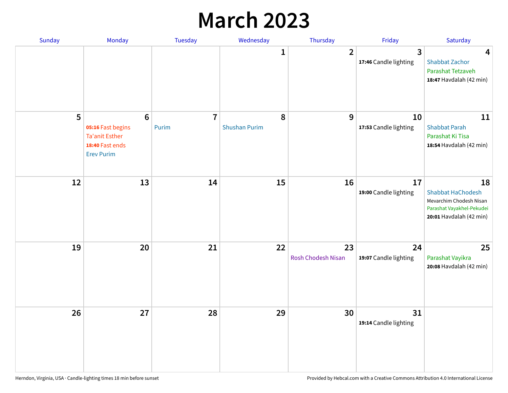## **March 2023**

| Sunday | Monday                                                                                                | Tuesday                 | Wednesday                 | Thursday                 | Friday                      | Saturday                                                                                                          |
|--------|-------------------------------------------------------------------------------------------------------|-------------------------|---------------------------|--------------------------|-----------------------------|-------------------------------------------------------------------------------------------------------------------|
|        |                                                                                                       |                         | 1                         | $\overline{2}$           | 3<br>17:46 Candle lighting  | $\overline{\mathbf{4}}$<br><b>Shabbat Zachor</b><br>Parashat Tetzaveh<br>18:47 Havdalah (42 min)                  |
| 5      | $6\phantom{1}6$<br>05:16 Fast begins<br><b>Ta'anit Esther</b><br>18:40 Fast ends<br><b>Erev Purim</b> | $\overline{7}$<br>Purim | 8<br><b>Shushan Purim</b> | 9                        | 10<br>17:53 Candle lighting | 11<br><b>Shabbat Parah</b><br>Parashat Ki Tisa<br>18:54 Havdalah (42 min)                                         |
| 12     | 13                                                                                                    | 14                      | 15                        | 16                       | 17<br>19:00 Candle lighting | 18<br><b>Shabbat HaChodesh</b><br>Mevarchim Chodesh Nisan<br>Parashat Vayakhel-Pekudei<br>20:01 Havdalah (42 min) |
| 19     | 20                                                                                                    | 21                      | 22                        | 23<br>Rosh Chodesh Nisan | 24<br>19:07 Candle lighting | 25<br>Parashat Vayikra<br>20:08 Havdalah (42 min)                                                                 |
| 26     | 27                                                                                                    | 28                      | 29                        | 30                       | 31<br>19:14 Candle lighting |                                                                                                                   |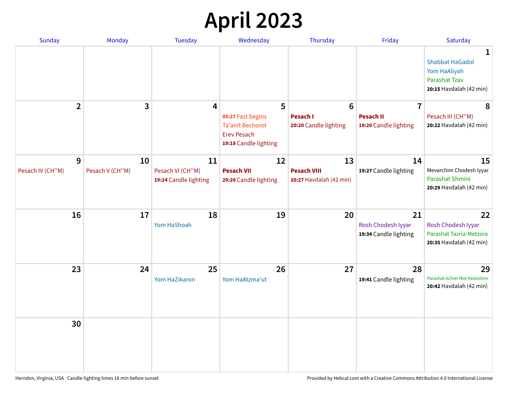# **April 2023**

| Sunday           | <b>Monday</b>   | <b>Tuesday</b>                            | Wednesday                                                                                   | Thursday                                      | Friday                                            | Saturday                                                                                       |
|------------------|-----------------|-------------------------------------------|---------------------------------------------------------------------------------------------|-----------------------------------------------|---------------------------------------------------|------------------------------------------------------------------------------------------------|
|                  |                 |                                           |                                                                                             |                                               |                                                   | 1<br><b>Shabbat HaGadol</b><br>Yom HaAliyah<br><b>Parashat Tzav</b><br>20:15 Havdalah (42 min) |
| $\overline{2}$   | 3               | $\overline{\mathbf{4}}$                   | 5                                                                                           | $6\phantom{1}6$                               | $\overline{7}$                                    | 8                                                                                              |
|                  |                 |                                           | 05:27 Fast begins<br><b>Ta'anit Bechorot</b><br><b>Erev Pesach</b><br>19:18 Candle lighting | <b>Pesach I</b><br>20:20 Candle lighting      | <b>Pesach II</b><br>19:20 Candle lighting         | Pesach III (CH"M)<br>20:22 Havdalah (42 min)                                                   |
| 9                | 10              | 11                                        | 12                                                                                          | 13                                            | 14                                                | 15                                                                                             |
| Pesach IV (CH"M) | Pesach V (CH"M) | Pesach VI (CH"M)<br>19:24 Candle lighting | <b>Pesach VII</b><br>20:26 Candle lighting                                                  | <b>Pesach VIII</b><br>20:27 Havdalah (42 min) | 19:27 Candle lighting                             | Mevarchim Chodesh Iyyar<br>Parashat Shmini<br>20:29 Havdalah (42 min)                          |
| 16               | 17              | 18<br>Yom HaShoah                         | 19                                                                                          | 20                                            | 21<br>Rosh Chodesh Iyyar<br>19:34 Candle lighting | 22<br>Rosh Chodesh Iyyar<br>Parashat Tazria-Metzora<br>20:35 Havdalah (42 min)                 |
| 23               | 24              | 25<br>Yom HaZikaron                       | 26<br>Yom HaAtzma'ut                                                                        | 27                                            | 28<br>19:41 Candle lighting                       | 29<br>Parashat Achrei Mot-Kedoshim<br>20:42 Havdalah (42 min)                                  |
| 30               |                 |                                           |                                                                                             |                                               |                                                   |                                                                                                |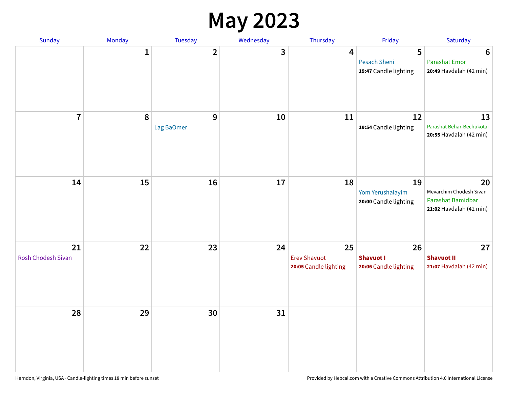#### **May 2023**

| Sunday                          | Monday       | Tuesday                        | Wednesday | Thursday                                           | Friday                                          | Saturday                                                                      |
|---------------------------------|--------------|--------------------------------|-----------|----------------------------------------------------|-------------------------------------------------|-------------------------------------------------------------------------------|
|                                 | $\mathbf{1}$ | $\overline{2}$                 | 3         | 4                                                  | 5<br>Pesach Sheni<br>19:47 Candle lighting      | $6\phantom{1}6$<br><b>Parashat Emor</b><br>20:49 Havdalah (42 min)            |
| $\overline{7}$                  | 8            | $\boldsymbol{9}$<br>Lag BaOmer | 10        | 11                                                 | 12<br>19:54 Candle lighting                     | 13<br>Parashat Behar-Bechukotai<br>20:55 Havdalah (42 min)                    |
| 14                              | 15           | 16                             | 17        | 18                                                 | 19<br>Yom Yerushalayim<br>20:00 Candle lighting | 20<br>Mevarchim Chodesh Sivan<br>Parashat Bamidbar<br>21:02 Havdalah (42 min) |
| 21<br><b>Rosh Chodesh Sivan</b> | 22           | 23                             | 24        | 25<br><b>Erev Shavuot</b><br>20:05 Candle lighting | 26<br><b>Shavuot I</b><br>20:06 Candle lighting | 27<br><b>Shavuot II</b><br>21:07 Havdalah (42 min)                            |
| 28                              | 29           | 30                             | 31        |                                                    |                                                 |                                                                               |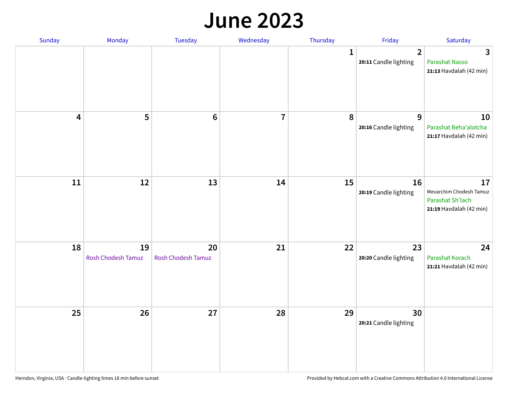#### **June 2023**

| Sunday | Monday                   | Tuesday                         | Wednesday               | Thursday | Friday                                  | Saturday                                                                     |
|--------|--------------------------|---------------------------------|-------------------------|----------|-----------------------------------------|------------------------------------------------------------------------------|
|        |                          |                                 |                         | 1        | $\overline{2}$<br>20:11 Candle lighting | 3<br><b>Parashat Nasso</b><br>21:13 Havdalah (42 min)                        |
| 4      | 5                        | $6\phantom{1}6$                 | $\overline{\mathbf{7}}$ | 8        | 9<br>20:16 Candle lighting              | 10<br>Parashat Beha'alotcha<br>21:17 Havdalah (42 min)                       |
| $11\,$ | 12                       | 13                              | 14                      | 15       | 16<br>20:19 Candle lighting             | 17<br>Mevarchim Chodesh Tamuz<br>Parashat Sh'lach<br>21:19 Havdalah (42 min) |
| 18     | 19<br>Rosh Chodesh Tamuz | 20<br><b>Rosh Chodesh Tamuz</b> | 21                      | 22       | 23<br>20:20 Candle lighting             | 24<br>Parashat Korach<br>21:21 Havdalah (42 min)                             |
| 25     | 26                       | 27                              | 28                      | 29       | 30<br>20:21 Candle lighting             |                                                                              |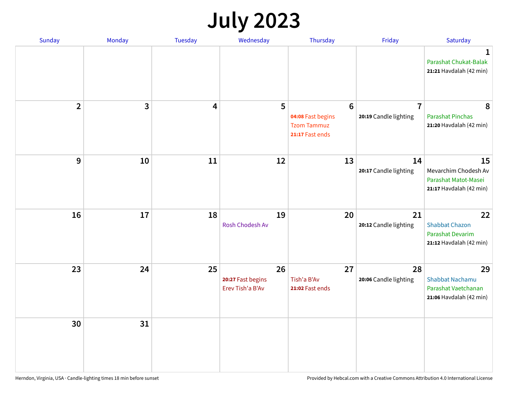## **July 2023**

| Sunday         | Monday       | <b>Tuesday</b> | Wednesday                                   | Thursday                                                            | Friday                                  | Saturday                                                                          |
|----------------|--------------|----------------|---------------------------------------------|---------------------------------------------------------------------|-----------------------------------------|-----------------------------------------------------------------------------------|
|                |              |                |                                             |                                                                     |                                         | 1<br>Parashat Chukat-Balak<br>21:21 Havdalah (42 min)                             |
| $\overline{2}$ | $\mathbf{3}$ | 4              | 5                                           | $6\,$<br>04:08 Fast begins<br><b>Tzom Tammuz</b><br>21:17 Fast ends | $\overline{7}$<br>20:19 Candle lighting | 8<br><b>Parashat Pinchas</b><br>21:20 Havdalah (42 min)                           |
| 9              | 10           | 11             | 12                                          | 13                                                                  | 14<br>20:17 Candle lighting             | 15<br>Mevarchim Chodesh Av<br>Parashat Matot-Masei<br>21:17 Havdalah (42 min)     |
| 16             | 17           | 18             | 19<br>Rosh Chodesh Av                       | 20                                                                  | 21<br>20:12 Candle lighting             | 22<br><b>Shabbat Chazon</b><br><b>Parashat Devarim</b><br>21:12 Havdalah (42 min) |
| 23             | 24           | 25             | 26<br>20:27 Fast begins<br>Erev Tish'a B'Av | 27<br>Tish'a B'Av<br>21:02 Fast ends                                | 28<br>20:06 Candle lighting             | 29<br><b>Shabbat Nachamu</b><br>Parashat Vaetchanan<br>21:06 Havdalah (42 min)    |
| 30             | 31           |                |                                             |                                                                     |                                         |                                                                                   |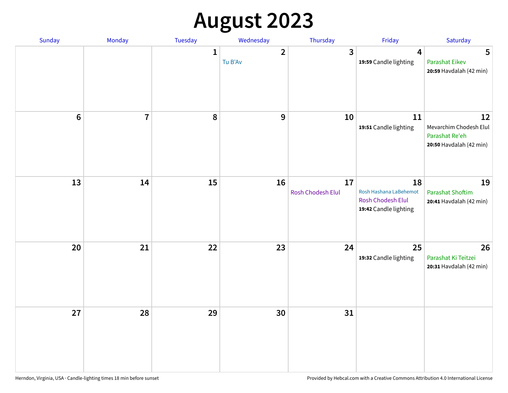# **August 2023**

| Sunday           | Monday         | Tuesday      | Wednesday               | Thursday                | Friday                                                                            | Saturday                                                                  |
|------------------|----------------|--------------|-------------------------|-------------------------|-----------------------------------------------------------------------------------|---------------------------------------------------------------------------|
|                  |                | $\mathbf{1}$ | $\mathbf{2}$<br>Tu B'Av | $\mathbf{3}$            | 4<br>19:59 Candle lighting                                                        | 5<br><b>Parashat Eikev</b><br>20:59 Havdalah (42 min)                     |
| $\boldsymbol{6}$ | $\overline{7}$ | 8            | 9                       | 10                      | 11<br>19:51 Candle lighting                                                       | 12<br>Mevarchim Chodesh Elul<br>Parashat Re'eh<br>20:50 Havdalah (42 min) |
| 13               | 14             | 15           | 16                      | 17<br>Rosh Chodesh Elul | 18<br>Rosh Hashana LaBehemot<br><b>Rosh Chodesh Elul</b><br>19:42 Candle lighting | 19<br><b>Parashat Shoftim</b><br>20:41 Havdalah (42 min)                  |
| 20               | 21             | 22           | 23                      | 24                      | 25<br>19:32 Candle lighting                                                       | 26<br>Parashat Ki Teitzei<br>20:31 Havdalah (42 min)                      |
| 27               | 28             | 29           | 30                      | 31                      |                                                                                   |                                                                           |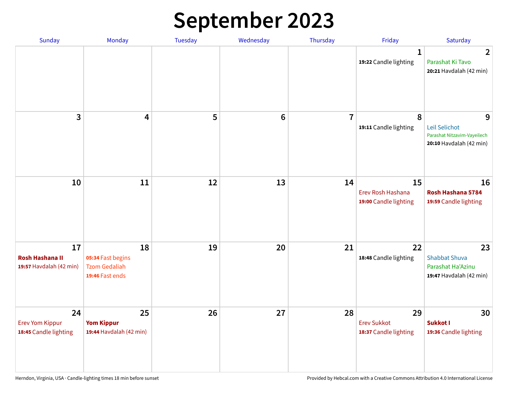# **September 2023**

| Sunday                                                  | Monday                                                             | <b>Tuesday</b> | Wednesday       | Thursday       | Friday                                            | Saturday                                                                     |
|---------------------------------------------------------|--------------------------------------------------------------------|----------------|-----------------|----------------|---------------------------------------------------|------------------------------------------------------------------------------|
|                                                         |                                                                    |                |                 |                | 1<br>19:22 Candle lighting                        | $\overline{2}$<br>Parashat Ki Tavo<br>20:21 Havdalah (42 min)                |
| 3                                                       | 4                                                                  | 5              | $6\phantom{1}6$ | $\overline{7}$ | 8<br>19:11 Candle lighting                        | 9<br>Leil Selichot<br>Parashat Nitzavim-Vayeilech<br>20:10 Havdalah (42 min) |
| 10                                                      | 11                                                                 | 12             | 13              | 14             | 15<br>Erev Rosh Hashana<br>19:00 Candle lighting  | 16<br>Rosh Hashana 5784<br>19:59 Candle lighting                             |
| 17<br><b>Rosh Hashana II</b><br>19:57 Havdalah (42 min) | 18<br>05:34 Fast begins<br><b>Tzom Gedaliah</b><br>19:46 Fast ends | 19             | 20              | 21             | 22<br>18:48 Candle lighting                       | 23<br><b>Shabbat Shuva</b><br>Parashat Ha'Azinu<br>19:47 Havdalah (42 min)   |
| 24<br><b>Erev Yom Kippur</b><br>18:45 Candle lighting   | 25<br><b>Yom Kippur</b><br>19:44 Havdalah (42 min)                 | 26             | 27              | 28             | 29<br><b>Erev Sukkot</b><br>18:37 Candle lighting | 30<br>Sukkot I<br>19:36 Candle lighting                                      |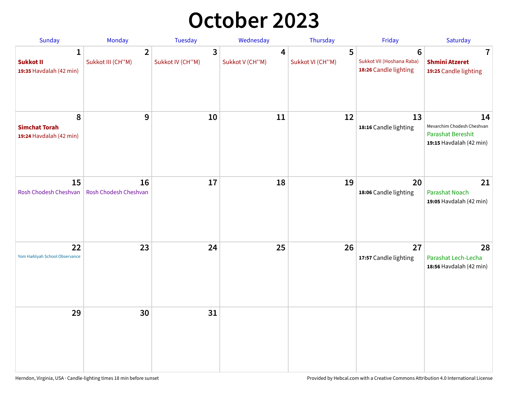## **October 2023**

| Sunday                                               | Monday                              | <b>Tuesday</b>        | Wednesday            | Thursday              | Friday                                                  | Saturday                                                                                |
|------------------------------------------------------|-------------------------------------|-----------------------|----------------------|-----------------------|---------------------------------------------------------|-----------------------------------------------------------------------------------------|
| 1<br><b>Sukkot II</b><br>19:35 Havdalah (42 min)     | $\overline{2}$<br>Sukkot III (CH"M) | 3<br>Sukkot IV (CH"M) | 4<br>Sukkot V (CH"M) | 5<br>Sukkot VI (CH"M) | 6<br>Sukkot VII (Hoshana Raba)<br>18:26 Candle lighting | 7<br><b>Shmini Atzeret</b><br>19:25 Candle lighting                                     |
| 8<br><b>Simchat Torah</b><br>19:24 Havdalah (42 min) | 9                                   | 10                    | 11                   | 12                    | 13<br>18:16 Candle lighting                             | 14<br>Mevarchim Chodesh Cheshvan<br><b>Parashat Bereshit</b><br>19:15 Havdalah (42 min) |
| 15<br>Rosh Chodesh Cheshvan                          | 16<br>Rosh Chodesh Cheshvan         | 17                    | 18                   | 19                    | 20<br>18:06 Candle lighting                             | 21<br><b>Parashat Noach</b><br>19:05 Havdalah (42 min)                                  |
| 22<br>Yom HaAliyah School Observance                 | 23                                  | 24                    | 25                   | 26                    | 27<br>17:57 Candle lighting                             | 28<br>Parashat Lech-Lecha<br>18:56 Havdalah (42 min)                                    |
| 29                                                   | 30                                  | 31                    |                      |                       |                                                         |                                                                                         |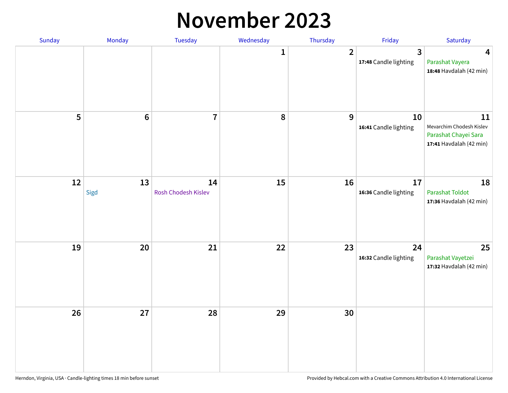#### **November 2023**

| Sunday | Monday          | Tuesday                   | Wednesday | Thursday       | Friday                      | Saturday                                                                          |
|--------|-----------------|---------------------------|-----------|----------------|-----------------------------|-----------------------------------------------------------------------------------|
|        |                 |                           | 1         | $\overline{2}$ | 3<br>17:48 Candle lighting  | $\overline{\mathbf{4}}$<br>Parashat Vayera<br>18:48 Havdalah (42 min)             |
| 5      | $6\phantom{1}6$ | $\overline{7}$            | 8         | 9              | 10<br>16:41 Candle lighting | 11<br>Mevarchim Chodesh Kislev<br>Parashat Chayei Sara<br>17:41 Havdalah (42 min) |
| 12     | 13<br>Sigd      | 14<br>Rosh Chodesh Kislev | 15        | 16             | 17<br>16:36 Candle lighting | 18<br>Parashat Toldot<br>17:36 Havdalah (42 min)                                  |
| 19     | 20              | 21                        | 22        | 23             | 24<br>16:32 Candle lighting | 25<br>Parashat Vayetzei<br>17:32 Havdalah (42 min)                                |
| 26     | 27              | 28                        | 29        | 30             |                             |                                                                                   |